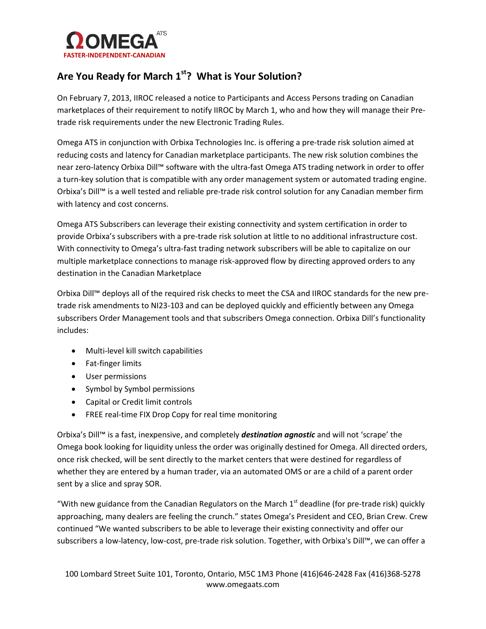

## **Are You Ready for March 1st? What is Your Solution?**

On February 7, 2013, IIROC released a notice to Participants and Access Persons trading on Canadian marketplaces of their requirement to notify IIROC by March 1, who and how they will manage their Pretrade risk requirements under the new Electronic Trading Rules.

Omega ATS in conjunction with Orbixa Technologies Inc. is offering a pre-trade risk solution aimed at reducing costs and latency for Canadian marketplace participants. The new risk solution combines the near zero-latency Orbixa Dill™ software with the ultra-fast Omega ATS trading network in order to offer a turn-key solution that is compatible with any order management system or automated trading engine. Orbixa's Dill™ is a well tested and reliable pre-trade risk control solution for any Canadian member firm with latency and cost concerns.

Omega ATS Subscribers can leverage their existing connectivity and system certification in order to provide Orbixa's subscribers with a pre-trade risk solution at little to no additional infrastructure cost. With connectivity to Omega's ultra-fast trading network subscribers will be able to capitalize on our multiple marketplace connections to manage risk-approved flow by directing approved orders to any destination in the Canadian Marketplace

Orbixa Dill™ deploys all of the required risk checks to meet the CSA and IIROC standards for the new pretrade risk amendments to NI23-103 and can be deployed quickly and efficiently between any Omega subscribers Order Management tools and that subscribers Omega connection. Orbixa Dill's functionality includes:

- Multi-level kill switch capabilities
- Fat-finger limits
- User permissions
- Symbol by Symbol permissions
- Capital or Credit limit controls
- FREE real-time FIX Drop Copy for real time monitoring

Orbixa's Dill™ is a fast, inexpensive, and completely *destination agnostic* and will not 'scrape' the Omega book looking for liquidity unless the order was originally destined for Omega. All directed orders, once risk checked, will be sent directly to the market centers that were destined for regardless of whether they are entered by a human trader, via an automated OMS or are a child of a parent order sent by a slice and spray SOR.

"With new guidance from the Canadian Regulators on the March  $1<sup>st</sup>$  deadline (for pre-trade risk) quickly approaching, many dealers are feeling the crunch." states Omega's President and CEO, Brian Crew. Crew continued "We wanted subscribers to be able to leverage their existing connectivity and offer our subscribers a low-latency, low-cost, pre-trade risk solution. Together, with Orbixa's Dill™, we can offer a